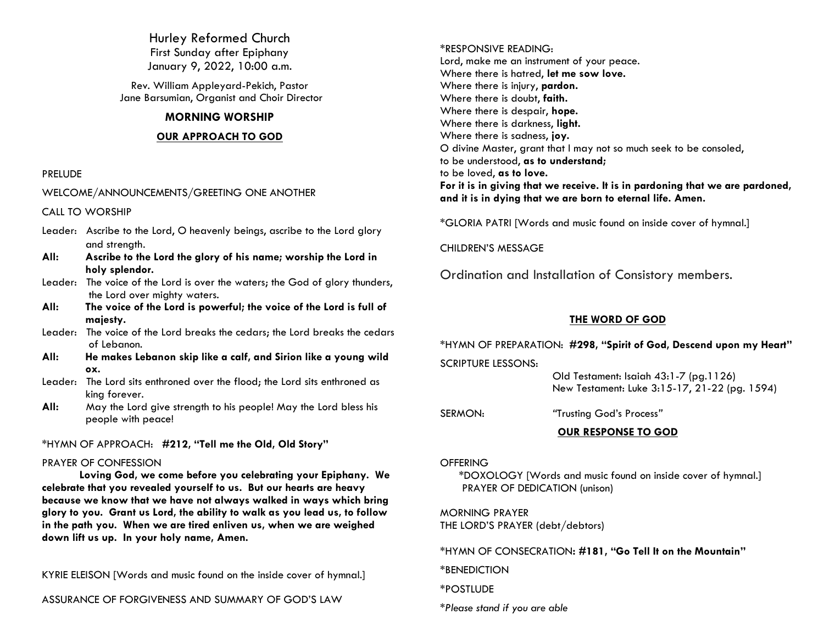Hurley Reformed Church First Sunday after Epiphany January 9, 2022, 10:00 a.m.

Rev. William Appleyard-Pekich, Pastor Jane Barsumian, Organist and Choir Director

## **MORNING WORSHIP**

## **OUR APPROACH TO GOD**

### PRELUDE

WELCOME/ANNOUNCEMENTS/GREETING ONE ANOTHER

CALL TO WORSHIP

- Leader: Ascribe to the Lord, O heavenly beings, ascribe to the Lord glory and strength.
- **All: Ascribe to the Lord the glory of his name; worship the Lord in holy splendor.**
- Leader: The voice of the Lord is over the waters; the God of glory thunders, the Lord over mighty waters.
- **All: The voice of the Lord is powerful; the voice of the Lord is full of majesty.**
- Leader: The voice of the Lord breaks the cedars; the Lord breaks the cedars of Lebanon.
- **All: He makes Lebanon skip like a calf, and Sirion like a young wild ox.**
- Leader: The Lord sits enthroned over the flood; the Lord sits enthroned as king forever.
- **All:** May the Lord give strength to his people! May the Lord bless his people with peace!

\*HYMN OF APPROACH: **#212, "Tell me the Old, Old Story"**

#### PRAYER OF CONFESSION

**Loving God, we come before you celebrating your Epiphany. We celebrate that you revealed yourself to us. But our hearts are heavy because we know that we have not always walked in ways which bring glory to you. Grant us Lord, the ability to walk as you lead us, to follow in the path you. When we are tired enliven us, when we are weighed down lift us up. In your holy name, Amen.**

KYRIE ELEISON [Words and music found on the inside cover of hymnal.]

ASSURANCE OF FORGIVENESS AND SUMMARY OF GOD'S LAW

\*RESPONSIVE READING: Lord, make me an instrument of your peace. Where there is hatred, **let me sow love.** Where there is injury, **pardon.** Where there is doubt, **faith.** Where there is despair, **hope.** Where there is darkness, **light.** Where there is sadness, **joy.** O divine Master, grant that I may not so much seek to be consoled, to be understood, **as to understand;** to be loved, **as to love. For it is in giving that we receive. It is in pardoning that we are pardoned, and it is in dying that we are born to eternal life. Amen.**

\*GLORIA PATRI [Words and music found on inside cover of hymnal.]

CHILDREN'S MESSAGE

Ordination and Installation of Consistory members.

## **THE WORD OF GOD**

\*HYMN OF PREPARATION: **#298, "Spirit of God, Descend upon my Heart"** SCRIPTURE LESSONS:

> Old Testament: Isaiah 43:1-7 (pg.1126) New Testament: Luke 3:15-17, 21-22 (pg. 1594)

SERMON: *"*Trusting God's Process*"*

## **OUR RESPONSE TO GOD**

**OFFERING** 

\*DOXOLOGY [Words and music found on inside cover of hymnal.] PRAYER OF DEDICATION (unison)

MORNING PRAYER THE LORD'S PRAYER (debt/debtors)

\*HYMN OF CONSECRATION**: #181, "Go Tell It on the Mountain"**

\*BENEDICTION

\*POSTLUDE

*\*Please stand if you are able*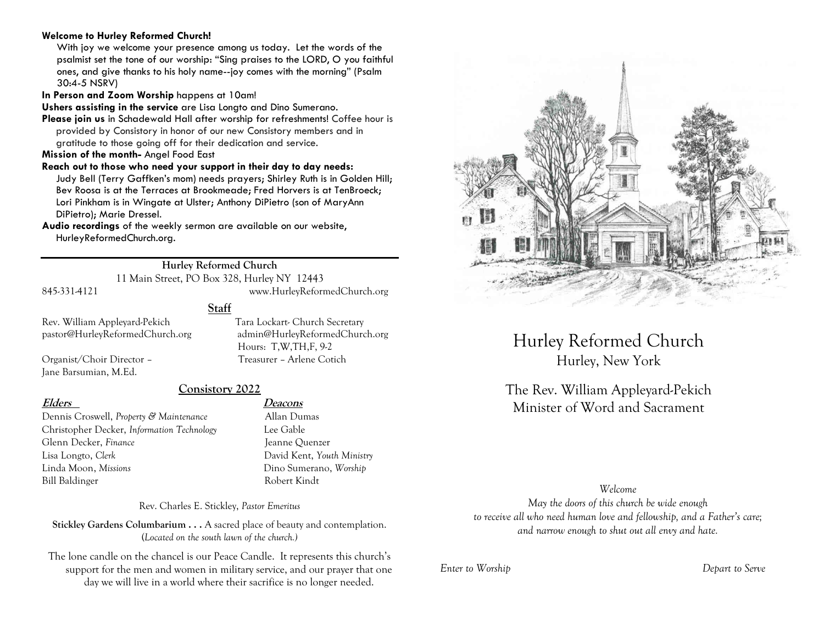### **Welcome to Hurley Reformed Church!**

With joy we welcome your presence among us today. Let the words of the psalmist set the tone of our worship: "Sing praises to the LORD, O you faithful ones, and give thanks to his holy name--joy comes with the morning" (Psalm 30:4-5 NSRV)

**In Person and Zoom Worship** happens at 10am!

**Ushers assisting in the service** are Lisa Longto and Dino Sumerano.

**Please join us** in Schadewald Hall after worship for refreshments! Coffee hour is provided by Consistory in honor of our new Consistory members and in gratitude to those going off for their dedication and service.

**Mission of the month-** Angel Food East

**Reach out to those who need your support in their day to day needs:**  Judy Bell (Terry Gaffken's mom) needs prayers; Shirley Ruth is in Golden Hill; Bev Roosa is at the Terraces at Brookmeade; Fred Horvers is at TenBroeck; Lori Pinkham is in Wingate at Ulster; Anthony DiPietro (son of MaryAnn DiPietro); Marie Dressel.

**Audio recordings** of the weekly sermon are available on our website, HurleyReformedChurch.org.

# **Hurley Reformed Church**

11 Main Street, PO Box 328, Hurley NY 12443

845-331-4121 www.HurleyReformedChurch.org

**Staff**

Rev. William Appleyard-Pekich Tara Lockart- Church Secretary pastor@HurleyReformedChurch.org admin@HurleyReformedChurch.org

Organist/Choir Director – Treasurer – Arlene Cotich Jane Barsumian, M.Ed.

# **Consistory 2022**

Dennis Croswell, *Property & Maintenance* Allan Dumas Christopher Decker, *Information Technology* Lee Gable Glenn Decker, *Finance* Jeanne Quenzer Lisa Longto, *Clerk* David Kent, *Youth Ministry* Linda Moon, *Missions* Dino Sumerano, *Worship* Bill Baldinger Robert Kindt

**Elders Deacons**

Hours: T,W,TH,F, 9-2

Rev. Charles E. Stickley, *Pastor Emeritus*

**Stickley Gardens Columbarium . . .** A sacred place of beauty and contemplation. (*Located on the south lawn of the church.)* 

The lone candle on the chancel is our Peace Candle. It represents this church's support for the men and women in military service, and our prayer that one day we will live in a world where their sacrifice is no longer needed.



Hurley Reformed Church Hurley, New York

The Rev. William Appleyard-Pekich Minister of Word and Sacrament

#### *Welcome*

*May the doors of this church be wide enough to receive all who need human love and fellowship, and a Father's care; and narrow enough to shut out all envy and hate.*

*Enter to Worship Depart to Serve*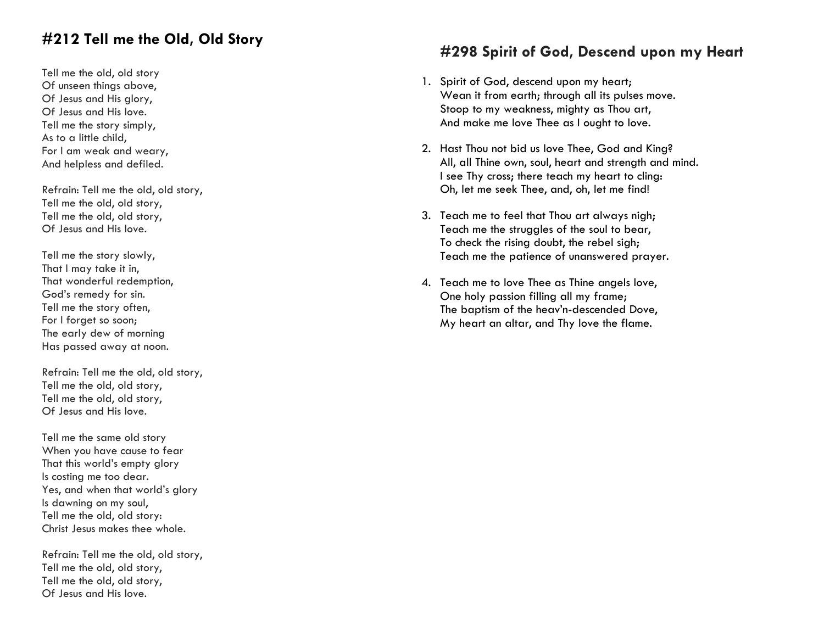# **#212 Tell me the Old, Old Story**

Tell me the old, old story Of unseen things above, Of Jesus and His glory, Of Jesus and His love. Tell me the story simply, As to a little child, For I am weak and weary, And helpless and defiled.

Refrain: Tell me the old, old story, Tell me the old, old story, Tell me the old, old story, Of Jesus and His love.

Tell me the story slowly, That I may take it in, That wonderful redemption, God's remedy for sin. Tell me the story often, For I forget so soon; The early dew of morning Has passed away at noon.

Refrain: Tell me the old, old story, Tell me the old, old story, Tell me the old, old story, Of Jesus and His love.

Tell me the same old story When you have cause to fear That this world's empty glory Is costing me too dear. Yes, and when that world's glory Is dawning on my soul, Tell me the old, old story: Christ Jesus makes thee whole.

Refrain: Tell me the old, old story, Tell me the old, old story, Tell me the old, old story, Of Jesus and His love.

# **#298 Spirit of God, Descend upon my Heart**

- 1. Spirit of God, descend upon my heart; Wean it from earth; through all its pulses move. Stoop to my weakness, mighty as Thou art, And make me love Thee as I ought to love.
- 2. Hast Thou not bid us love Thee, God and King? All, all Thine own, soul, heart and strength and mind. I see Thy cross; there teach my heart to cling: Oh, let me seek Thee, and, oh, let me find!
- 3. Teach me to feel that Thou art always nigh; Teach me the struggles of the soul to bear, To check the rising doubt, the rebel sigh; Teach me the patience of unanswered prayer.
- 4. Teach me to love Thee as Thine angels love, One holy passion filling all my frame; The baptism of the heav'n-descended Dove, My heart an altar, and Thy love the flame.